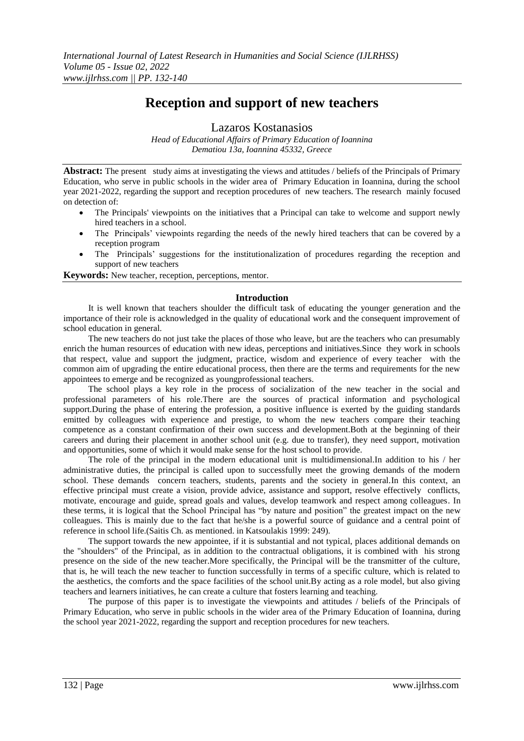# **Reception and support of new teachers**

Lazaros Kostanasios

*Head of Educational Affairs of Primary Education of Ioannina Dematiou 13a, Ioannina 45332, Greece*

**Abstract:** The present study aims at investigating the views and attitudes / beliefs of the Principals of Primary Education, who serve in public schools in the wider area of Primary Education in Ioannina, during the school year 2021-2022, regarding the support and reception procedures of new teachers. The research mainly focused on detection of:

- The Principals' viewpoints on the initiatives that a Principal can take to welcome and support newly hired teachers in a school.
- The Principals' viewpoints regarding the needs of the newly hired teachers that can be covered by a reception program
- The Principals' suggestions for the institutionalization of procedures regarding the reception and support of new teachers

**Keywords:** New teacher, reception, perceptions, mentor.

### **Introduction**

It is well known that teachers shoulder the difficult task of educating the younger generation and the importance of their role is acknowledged in the quality of educational work and the consequent improvement of school education in general.

The new teachers do not just take the places of those who leave, but are the teachers who can presumably enrich the human resources of education with new ideas, perceptions and initiatives.Since they work in schools that respect, value and support the judgment, practice, wisdom and experience of every teacher with the common aim of upgrading the entire educational process, then there are the terms and requirements for the new appointees to emerge and be recognized as youngprofessional teachers.

The school plays a key role in the process of socialization of the new teacher in the social and professional parameters of his role.There are the sources of practical information and psychological support.During the phase of entering the profession, a positive influence is exerted by the guiding standards emitted by colleagues with experience and prestige, to whom the new teachers compare their teaching competence as a constant confirmation of their own success and development.Both at the beginning of their careers and during their placement in another school unit (e.g. due to transfer), they need support, motivation and opportunities, some of which it would make sense for the host school to provide.

The role of the principal in the modern educational unit is multidimensional.In addition to his / her administrative duties, the principal is called upon to successfully meet the growing demands of the modern school. These demands concern teachers, students, parents and the society in general.In this context, an effective principal must create a vision, provide advice, assistance and support, resolve effectively conflicts, motivate, encourage and guide, spread goals and values, develop teamwork and respect among colleagues. In these terms, it is logical that the School Principal has "by nature and position" the greatest impact on the new colleagues. This is mainly due to the fact that he/she is a powerful source of guidance and a central point of reference in school life.(Saitis Ch. as mentioned. in Katsoulakis 1999: 249).

The support towards the new appointee, if it is substantial and not typical, places additional demands on the "shoulders" of the Principal, as in addition to the contractual obligations, it is combined with his strong presence on the side of the new teacher.More specifically, the Principal will be the transmitter of the culture, that is, he will teach the new teacher to function successfully in terms of a specific culture, which is related to the aesthetics, the comforts and the space facilities of the school unit.By acting as a role model, but also giving teachers and learners initiatives, he can create a culture that fosters learning and teaching.

The purpose of this paper is to investigate the viewpoints and attitudes / beliefs of the Principals of Primary Education, who serve in public schools in the wider area of the Primary Education of Ioannina, during the school year 2021-2022, regarding the support and reception procedures for new teachers.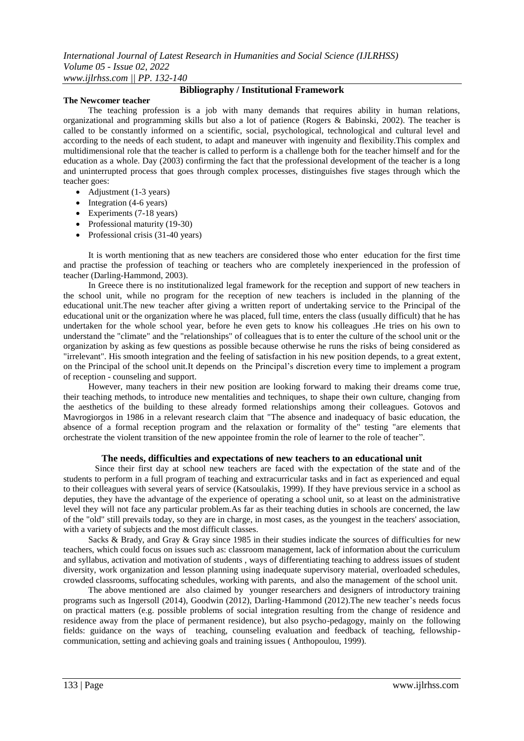#### **The Newcomer teacher**

# **Bibliography / Institutional Framework**

The teaching profession is a job with many demands that requires ability in human relations, organizational and programming skills but also a lot of patience (Rogers & Babinski, 2002). The teacher is called to be constantly informed on a scientific, social, psychological, technological and cultural level and according to the needs of each student, to adapt and maneuver with ingenuity and flexibility.This complex and multidimensional role that the teacher is called to perform is a challenge both for the teacher himself and for the education as a whole. Day (2003) confirming the fact that the professional development of the teacher is a long and uninterrupted process that goes through complex processes, distinguishes five stages through which the teacher goes:

- Adjustment (1-3 years)
- $\bullet$  Integration (4-6 years)
- Experiments (7-18 years)
- Professional maturity (19-30)
- Professional crisis (31-40 years)

It is worth mentioning that as new teachers are considered those who enter education for the first time and practise the profession of teaching or teachers who are completely inexperienced in the profession of teacher (Darling-Hammond, 2003).

In Greece there is no institutionalized legal framework for the reception and support of new teachers in the school unit, while no program for the reception of new teachers is included in the planning of the educational unit.The new teacher after giving a written report of undertaking service to the Principal of the educational unit or the organization where he was placed, full time, enters the class (usually difficult) that he has undertaken for the whole school year, before he even gets to know his colleagues .He tries on his own to understand the "climate" and the "relationships" of colleagues that is to enter the culture of the school unit or the organization by asking as few questions as possible because otherwise he runs the risks of being considered as "irrelevant". His smooth integration and the feeling of satisfaction in his new position depends, to a great extent, on the Principal of the school unit.It depends on the Principal's discretion every time to implement a program of reception - counseling and support.

However, many teachers in their new position are looking forward to making their dreams come true, their teaching methods, to introduce new mentalities and techniques, to shape their own culture, changing from the aesthetics of the building to these already formed relationships among their colleagues. Gotovos and Mavrogiorgos in 1986 in a relevant research claim that "The absence and inadequacy of basic education, the absence of a formal reception program and the relaxation or formality of the" testing "are elements that orchestrate the violent transition of the new appointee fromin the role of learner to the role of teacher".

### **The needs, difficulties and expectations of new teachers to an educational unit**

Since their first day at school new teachers are faced with the expectation of the state and of the students to perform in a full program of teaching and extracurricular tasks and in fact as experienced and equal to their colleagues with several years of service (Katsoulakis, 1999). If they have previous service in a school as deputies, they have the advantage of the experience of operating a school unit, so at least on the administrative level they will not face any particular problem.As far as their teaching duties in schools are concerned, the law of the "old" still prevails today, so they are in charge, in most cases, as the youngest in the teachers' association, with a variety of subjects and the most difficult classes.

Sacks & Brady, and Gray & Gray since 1985 in their studies indicate the sources of difficulties for new teachers, which could focus on issues such as: classroom management, lack of information about the curriculum and syllabus, activation and motivation of students , ways of differentiating teaching to address issues of student diversity, work organization and lesson planning using inadequate supervisory material, overloaded schedules, crowded classrooms, suffocating schedules, working with parents, and also the management of the school unit.

The above mentioned are also claimed by younger researchers and designers of introductory training programs such as Ingersoll (2014), Goodwin (2012), Darling-Hammond (2012).The new teacher's needs focus on practical matters (e.g. possible problems of social integration resulting from the change of residence and residence away from the place of permanent residence), but also psycho-pedagogy, mainly on the following fields: guidance on the ways of teaching, counseling evaluation and feedback of teaching, fellowshipcommunication, setting and achieving goals and training issues ( Anthopoulou, 1999).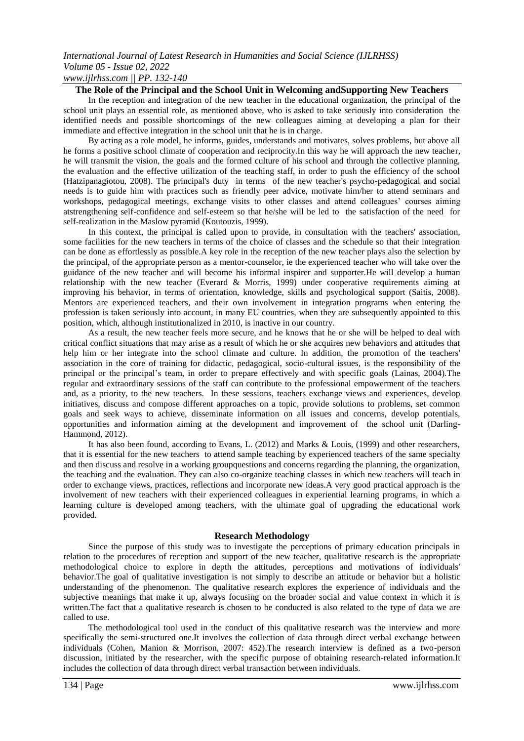*www.ijlrhss.com || PP. 132-140*

### **The Role of the Principal and the School Unit in Welcoming andSupporting New Teachers**

In the reception and integration of the new teacher in the educational organization, the principal of the school unit plays an essential role, as mentioned above, who is asked to take seriously into consideration the identified needs and possible shortcomings of the new colleagues aiming at developing a plan for their immediate and effective integration in the school unit that he is in charge.

By acting as a role model, he informs, guides, understands and motivates, solves problems, but above all he forms a positive school climate of cooperation and reciprocity.In this way he will approach the new teacher, he will transmit the vision, the goals and the formed culture of his school and through the collective planning, the evaluation and the effective utilization of the teaching staff, in order to push the efficiency of the school (Hatzipanagiotou, 2008). The principal's duty in terms of the new teacher's psycho-pedagogical and social needs is to guide him with practices such as friendly peer advice, motivate him/her to attend seminars and workshops, pedagogical meetings, exchange visits to other classes and attend colleagues' courses aiming atstrengthening self-confidence and self-esteem so that he/she will be led to the satisfaction of the need for self-realization in the Maslow pyramid (Koutouzis, 1999).

In this context, the principal is called upon to provide, in consultation with the teachers' association, some facilities for the new teachers in terms of the choice of classes and the schedule so that their integration can be done as effortlessly as possible.A key role in the reception of the new teacher plays also the selection by the principal, of the appropriate person as a mentor-counselor, ie the experienced teacher who will take over the guidance of the new teacher and will become his informal inspirer and supporter.He will develop a human relationship with the new teacher (Everard & Morris, 1999) under cooperative requirements aiming at improving his behavior, in terms of orientation, knowledge, skills and psychological support (Saitis, 2008). Mentors are experienced teachers, and their own involvement in integration programs when entering the profession is taken seriously into account, in many EU countries, when they are subsequently appointed to this position, which, although institutionalized in 2010, is inactive in our country.

As a result, the new teacher feels more secure, and he knows that he or she will be helped to deal with critical conflict situations that may arise as a result of which he or she acquires new behaviors and attitudes that help him or her integrate into the school climate and culture. In addition, the promotion of the teachers' association in the core of training for didactic, pedagogical, socio-cultural issues, is the responsibility of the principal or the principal's team, in order to prepare effectively and with specific goals (Lainas, 2004).The regular and extraordinary sessions of the staff can contribute to the professional empowerment of the teachers and, as a priority, to the new teachers. In these sessions, teachers exchange views and experiences, develop initiatives, discuss and compose different approaches on a topic, provide solutions to problems, set common goals and seek ways to achieve, disseminate information on all issues and concerns, develop potentials, opportunities and information aiming at the development and improvement of the school unit (Darling-Hammond, 2012).

It has also been found, according to Evans, L. (2012) and Marks & Louis, (1999) and other researchers, that it is essential for the new teachers to attend sample teaching by experienced teachers of the same specialty and then discuss and resolve in a working groupquestions and concerns regarding the planning, the organization, the teaching and the evaluation. They can also co-organize teaching classes in which new teachers will teach in order to exchange views, practices, reflections and incorporate new ideas.A very good practical approach is the involvement of new teachers with their experienced colleagues in experiential learning programs, in which a learning culture is developed among teachers, with the ultimate goal of upgrading the educational work provided.

### **Research Methodology**

Since the purpose of this study was to investigate the perceptions of primary education principals in relation to the procedures of reception and support of the new teacher, qualitative research is the appropriate methodological choice to explore in depth the attitudes, perceptions and motivations of individuals' behavior.The goal of qualitative investigation is not simply to describe an attitude or behavior but a holistic understanding of the phenomenon. The qualitative research explores the experience of individuals and the subjective meanings that make it up, always focusing on the broader social and value context in which it is written. The fact that a qualitative research is chosen to be conducted is also related to the type of data we are called to use.

The methodological tool used in the conduct of this qualitative research was the interview and more specifically the semi-structured one.It involves the collection of data through direct verbal exchange between individuals (Cohen, Manion & Morrison, 2007: 452).The research interview is defined as a two-person discussion, initiated by the researcher, with the specific purpose of obtaining research-related information.It includes the collection of data through direct verbal transaction between individuals.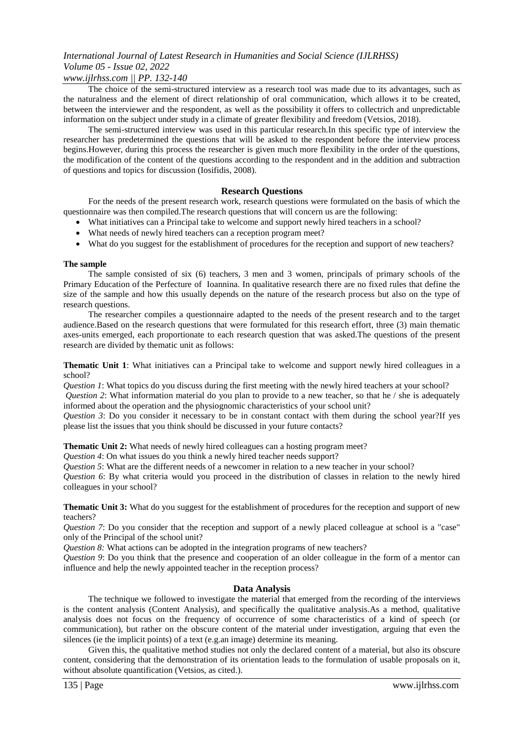### *www.ijlrhss.com || PP. 132-140*

The choice of the semi-structured interview as a research tool was made due to its advantages, such as the naturalness and the element of direct relationship of oral communication, which allows it to be created, between the interviewer and the respondent, as well as the possibility it offers to collectrich and unpredictable information on the subject under study in a climate of greater flexibility and freedom (Vetsios, 2018).

The semi-structured interview was used in this particular research.In this specific type of interview the researcher has predetermined the questions that will be asked to the respondent before the interview process begins.However, during this process the researcher is given much more flexibility in the order of the questions, the modification of the content of the questions according to the respondent and in the addition and subtraction of questions and topics for discussion (Iosifidis, 2008).

### **Research Questions**

For the needs of the present research work, research questions were formulated on the basis of which the questionnaire was then compiled.The research questions that will concern us are the following:

- What initiatives can a Principal take to welcome and support newly hired teachers in a school?
- What needs of newly hired teachers can a reception program meet?
- What do you suggest for the establishment of procedures for the reception and support of new teachers?

### **The sample**

The sample consisted of six (6) teachers, 3 men and 3 women, principals of primary schools of the Primary Education of the Perfecture of Ioannina. In qualitative research there are no fixed rules that define the size of the sample and how this usually depends on the nature of the research process but also on the type of research questions.

The researcher compiles a questionnaire adapted to the needs of the present research and to the target audience.Based on the research questions that were formulated for this research effort, three (3) main thematic axes-units emerged, each proportionate to each research question that was asked.The questions of the present research are divided by thematic unit as follows:

**Thematic Unit 1**: What initiatives can a Principal take to welcome and support newly hired colleagues in a school?

*Question 1*: What topics do you discuss during the first meeting with the newly hired teachers at your school?

*Question 2*: What information material do you plan to provide to a new teacher, so that he / she is adequately informed about the operation and the physiognomic characteristics of your school unit?

*Question 3*: Do you consider it necessary to be in constant contact with them during the school year?If yes please list the issues that you think should be discussed in your future contacts?

**Thematic Unit 2:** What needs of newly hired colleagues can a hosting program meet?

*Question 4*: On what issues do you think a newly hired teacher needs support?

*Question 5*: What are the different needs of a newcomer in relation to a new teacher in your school?

*Question 6*: By what criteria would you proceed in the distribution of classes in relation to the newly hired colleagues in your school?

**Thematic Unit 3:** What do you suggest for the establishment of procedures for the reception and support of new teachers?

*Question 7*: Do you consider that the reception and support of a newly placed colleague at school is a "case" only of the Principal of the school unit?

*Question 8:* What actions can be adopted in the integration programs of new teachers?

*Question 9*: Do you think that the presence and cooperation of an older colleague in the form of a mentor can influence and help the newly appointed teacher in the reception process?

### **Data Analysis**

The technique we followed to investigate the material that emerged from the recording of the interviews is the content analysis (Content Analysis), and specifically the qualitative analysis.As a method, qualitative analysis does not focus on the frequency of occurrence of some characteristics of a kind of speech (or communication), but rather on the obscure content of the material under investigation, arguing that even the silences (ie the implicit points) of a text (e.g.an image) determine its meaning.

Given this, the qualitative method studies not only the declared content of a material, but also its obscure content, considering that the demonstration of its orientation leads to the formulation of usable proposals on it, without absolute quantification (Vetsios, as cited.).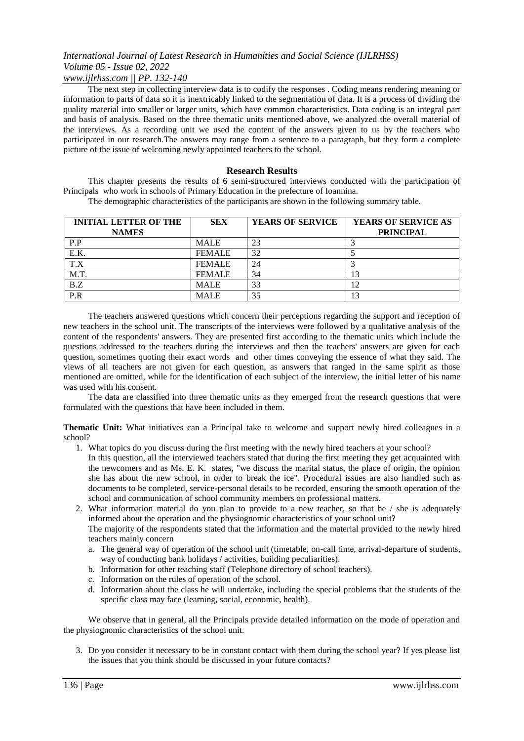# *www.ijlrhss.com || PP. 132-140*

The next step in collecting interview data is to codify the responses . Coding means rendering meaning or information to parts of data so it is inextricably linked to the segmentation of data. It is a process of dividing the quality material into smaller or larger units, which have common characteristics. Data coding is an integral part and basis of analysis. Based on the three thematic units mentioned above, we analyzed the overall material of the interviews. As a recording unit we used the content of the answers given to us by the teachers who participated in our research.The answers may range from a sentence to a paragraph, but they form a complete picture of the issue of welcoming newly appointed teachers to the school.

### **Research Results**

This chapter presents the results of 6 semi-structured interviews conducted with the participation of Principals who work in schools of Primary Education in the prefecture of Ioannina.

The demographic characteristics of the participants are shown in the following summary table.

| <b>INITIAL LETTER OF THE</b><br><b>NAMES</b> | <b>SEX</b>    | <b>YEARS OF SERVICE</b> | <b>YEARS OF SERVICE AS</b><br><b>PRINCIPAL</b> |
|----------------------------------------------|---------------|-------------------------|------------------------------------------------|
| P.P                                          | <b>MALE</b>   | 23                      |                                                |
| E.K.                                         | <b>FEMALE</b> | 32                      |                                                |
| T.X                                          | <b>FEMALE</b> | 24                      |                                                |
| M.T.                                         | <b>FEMALE</b> | 34                      |                                                |
| B.Z                                          | <b>MALE</b>   | 33                      | $\overline{2}$                                 |
| $\overline{P.R}$                             | <b>MALE</b>   | 35                      | 13                                             |

The teachers answered questions which concern their perceptions regarding the support and reception of new teachers in the school unit. The transcripts of the interviews were followed by a qualitative analysis of the content of the respondents' answers. They are presented first according to the thematic units which include the questions addressed to the teachers during the interviews and then the teachers' answers are given for each question, sometimes quoting their exact words and other times conveying the essence of what they said. The views of all teachers are not given for each question, as answers that ranged in the same spirit as those mentioned are omitted, while for the identification of each subject of the interview, the initial letter of his name was used with his consent.

The data are classified into three thematic units as they emerged from the research questions that were formulated with the questions that have been included in them.

**Thematic Unit:** What initiatives can a Principal take to welcome and support newly hired colleagues in a school?

- 1. What topics do you discuss during the first meeting with the newly hired teachers at your school?
	- In this question, all the interviewed teachers stated that during the first meeting they get acquainted with the newcomers and as Ms. E. K. states, "we discuss the marital status, the place of origin, the opinion she has about the new school, in order to break the ice". Procedural issues are also handled such as documents to be completed, service-personal details to be recorded, ensuring the smooth operation of the school and communication of school community members on professional matters.
- 2. What information material do you plan to provide to a new teacher, so that he / she is adequately informed about the operation and the physiognomic characteristics of your school unit? The majority of the respondents stated that the information and the material provided to the newly hired
	- teachers mainly concern a. The general way of operation of the school unit (timetable, on-call time, arrival-departure of students,
	- way of conducting bank holidays / activities, building peculiarities).
	- b. Information for other teaching staff (Telephone directory of school teachers).
	- c. Information on the rules of operation of the school.
	- d. Information about the class he will undertake, including the special problems that the students of the specific class may face (learning, social, economic, health).

We observe that in general, all the Principals provide detailed information on the mode of operation and the physiognomic characteristics of the school unit.

3. Do you consider it necessary to be in constant contact with them during the school year? If yes please list the issues that you think should be discussed in your future contacts?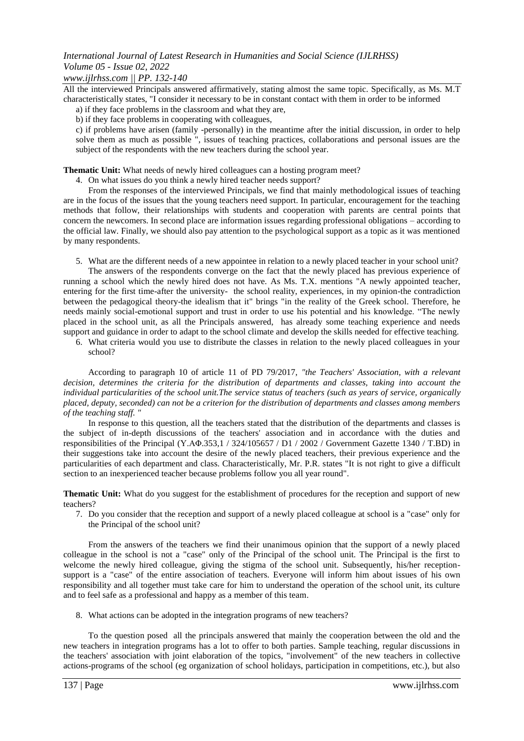### *www.ijlrhss.com || PP. 132-140*

All the interviewed Principals answered affirmatively, stating almost the same topic. Specifically, as Ms. M.T characteristically states, "I consider it necessary to be in constant contact with them in order to be informed

- a) if they face problems in the classroom and what they are,
- b) if they face problems in cooperating with colleagues,

c) if problems have arisen (family -personally) in the meantime after the initial discussion, in order to help solve them as much as possible ", issues of teaching practices, collaborations and personal issues are the subject of the respondents with the new teachers during the school year.

**Thematic Unit:** What needs of newly hired colleagues can a hosting program meet?

4. On what issues do you think a newly hired teacher needs support?

From the responses of the interviewed Principals, we find that mainly methodological issues of teaching are in the focus of the issues that the young teachers need support. In particular, encouragement for the teaching methods that follow, their relationships with students and cooperation with parents are central points that concern the newcomers. In second place are information issues regarding professional obligations – according to the official law. Finally, we should also pay attention to the psychological support as a topic as it was mentioned by many respondents.

5. What are the different needs of a new appointee in relation to a newly placed teacher in your school unit?

The answers of the respondents converge on the fact that the newly placed has previous experience of running a school which the newly hired does not have. As Ms. T.X. mentions "A newly appointed teacher, entering for the first time-after the university- the school reality, experiences, in my opinion-the contradiction between the pedagogical theory-the idealism that it" brings "in the reality of the Greek school. Therefore, he needs mainly social-emotional support and trust in order to use his potential and his knowledge. "The newly placed in the school unit, as all the Principals answered, has already some teaching experience and needs support and guidance in order to adapt to the school climate and develop the skills needed for effective teaching.

6. What criteria would you use to distribute the classes in relation to the newly placed colleagues in your school?

According to paragraph 10 of article 11 of PD 79/2017, *"the Teachers' Association, with a relevant decision, determines the criteria for the distribution of departments and classes, taking into account the individual particularities of the school unit.The service status of teachers (such as years of service, organically placed, deputy, seconded) can not be a criterion for the distribution of departments and classes among members of the teaching staff. "*

In response to this question, all the teachers stated that the distribution of the departments and classes is the subject of in-depth discussions of the teachers' association and in accordance with the duties and responsibilities of the Principal (Υ.ΑΦ.353,1 / 324/105657 / D1 / 2002 / Government Gazette 1340 / T.BD) in their suggestions take into account the desire of the newly placed teachers, their previous experience and the particularities of each department and class. Characteristically, Mr. P.R. states "It is not right to give a difficult section to an inexperienced teacher because problems follow you all year round".

**Thematic Unit:** What do you suggest for the establishment of procedures for the reception and support of new teachers?

7. Do you consider that the reception and support of a newly placed colleague at school is a "case" only for the Principal of the school unit?

From the answers of the teachers we find their unanimous opinion that the support of a newly placed colleague in the school is not a "case" only of the Principal of the school unit. The Principal is the first to welcome the newly hired colleague, giving the stigma of the school unit. Subsequently, his/her receptionsupport is a "case" of the entire association of teachers. Everyone will inform him about issues of his own responsibility and all together must take care for him to understand the operation of the school unit, its culture and to feel safe as a professional and happy as a member of this team.

8. What actions can be adopted in the integration programs of new teachers?

To the question posed all the principals answered that mainly the cooperation between the old and the new teachers in integration programs has a lot to offer to both parties. Sample teaching, regular discussions in the teachers' association with joint elaboration of the topics, "involvement" of the new teachers in collective actions-programs of the school (eg organization of school holidays, participation in competitions, etc.), but also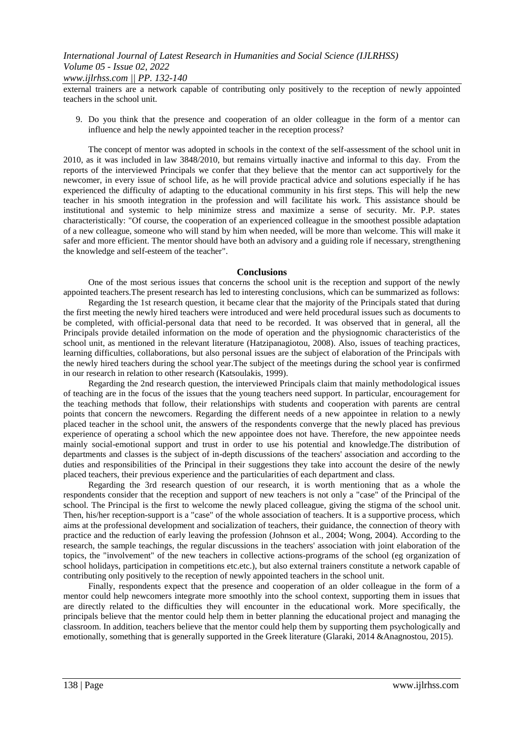external trainers are a network capable of contributing only positively to the reception of newly appointed teachers in the school unit.

9. Do you think that the presence and cooperation of an older colleague in the form of a mentor can influence and help the newly appointed teacher in the reception process?

The concept of mentor was adopted in schools in the context of the self-assessment of the school unit in 2010, as it was included in law 3848/2010, but remains virtually inactive and informal to this day. From the reports of the interviewed Principals we confer that they believe that the mentor can act supportively for the newcomer, in every issue of school life, as he will provide practical advice and solutions especially if he has experienced the difficulty of adapting to the educational community in his first steps. This will help the new teacher in his smooth integration in the profession and will facilitate his work. This assistance should be institutional and systemic to help minimize stress and maximize a sense of security. Mr. P.P. states characteristically: "Of course, the cooperation of an experienced colleague in the smoothest possible adaptation of a new colleague, someone who will stand by him when needed, will be more than welcome. This will make it safer and more efficient. The mentor should have both an advisory and a guiding role if necessary, strengthening the knowledge and self-esteem of the teacher".

### **Conclusions**

One of the most serious issues that concerns the school unit is the reception and support of the newly appointed teachers.The present research has led to interesting conclusions, which can be summarized as follows:

Regarding the 1st research question, it became clear that the majority of the Principals stated that during the first meeting the newly hired teachers were introduced and were held procedural issues such as documents to be completed, with official-personal data that need to be recorded. It was observed that in general, all the Principals provide detailed information on the mode of operation and the physiognomic characteristics of the school unit, as mentioned in the relevant literature (Hatzipanagiotou, 2008). Also, issues of teaching practices, learning difficulties, collaborations, but also personal issues are the subject of elaboration of the Principals with the newly hired teachers during the school year.The subject of the meetings during the school year is confirmed in our research in relation to other research (Katsoulakis, 1999).

Regarding the 2nd research question, the interviewed Principals claim that mainly methodological issues of teaching are in the focus of the issues that the young teachers need support. In particular, encouragement for the teaching methods that follow, their relationships with students and cooperation with parents are central points that concern the newcomers. Regarding the different needs of a new appointee in relation to a newly placed teacher in the school unit, the answers of the respondents converge that the newly placed has previous experience of operating a school which the new appointee does not have. Therefore, the new appointee needs mainly social-emotional support and trust in order to use his potential and knowledge.The distribution of departments and classes is the subject of in-depth discussions of the teachers' association and according to the duties and responsibilities of the Principal in their suggestions they take into account the desire of the newly placed teachers, their previous experience and the particularities of each department and class.

Regarding the 3rd research question of our research, it is worth mentioning that as a whole the respondents consider that the reception and support of new teachers is not only a "case" of the Principal of the school. The Principal is the first to welcome the newly placed colleague, giving the stigma of the school unit. Then, his/her reception-support is a "case" of the whole association of teachers. It is a supportive process, which aims at the professional development and socialization of teachers, their guidance, the connection of theory with practice and the reduction of early leaving the profession (Johnson et al., 2004; Wong, 2004). According to the research, the sample teachings, the regular discussions in the teachers' association with joint elaboration of the topics, the "involvement" of the new teachers in collective actions-programs of the school (eg organization of school holidays, participation in competitions etc.etc.), but also external trainers constitute a network capable of contributing only positively to the reception of newly appointed teachers in the school unit.

Finally, respondents expect that the presence and cooperation of an older colleague in the form of a mentor could help newcomers integrate more smoothly into the school context, supporting them in issues that are directly related to the difficulties they will encounter in the educational work. More specifically, the principals believe that the mentor could help them in better planning the educational project and managing the classroom. In addition, teachers believe that the mentor could help them by supporting them psychologically and emotionally, something that is generally supported in the Greek literature (Glaraki, 2014 &Anagnostou, 2015).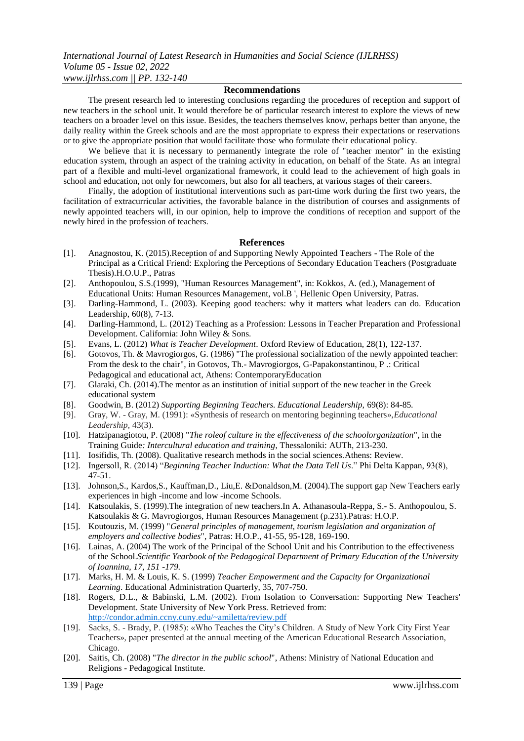#### **Recommendations**

The present research led to interesting conclusions regarding the procedures of reception and support of new teachers in the school unit. It would therefore be of particular research interest to explore the views of new teachers on a broader level on this issue. Besides, the teachers themselves know, perhaps better than anyone, the daily reality within the Greek schools and are the most appropriate to express their expectations or reservations or to give the appropriate position that would facilitate those who formulate their educational policy.

We believe that it is necessary to permanently integrate the role of "teacher mentor" in the existing education system, through an aspect of the training activity in education, on behalf of the State. As an integral part of a flexible and multi-level organizational framework, it could lead to the achievement of high goals in school and education, not only for newcomers, but also for all teachers, at various stages of their careers.

Finally, the adoption of institutional interventions such as part-time work during the first two years, the facilitation of extracurricular activities, the favorable balance in the distribution of courses and assignments of newly appointed teachers will, in our opinion, help to improve the conditions of reception and support of the newly hired in the profession of teachers.

#### **References**

- [1]. Anagnostou, K. (2015).Reception of and Supporting Newly Appointed Teachers The Role of the Principal as a Critical Friend: Exploring the Perceptions of Secondary Education Teachers (Postgraduate Thesis).H.O.U.P., Patras
- [2]. Anthopoulou, S.S.(1999), "Human Resources Management", in: Kokkos, A. (ed.), Management of Educational Units: Human Resources Management, vol.B ', Hellenic Open University, Patras.
- [3]. Darling-Hammond, L. (2003). Keeping good teachers: why it matters what leaders can do. Education Leadership, 60(8), 7-13.
- [4]. Darling-Hammond, L. (2012) Teaching as a Profession: Lessons in Teacher Preparation and Professional Development. California: John Wiley & Sons.
- [5]. Evans, L. (2012) *What is Teacher Development*. Oxford Review of Education, 28(1), 122-137.
- [6]. Gotovos, Th. & Mavrogiorgos, G. (1986) "The professional socialization of the newly appointed teacher: From the desk to the chair", in Gotovos, Th.- Mavrogiorgos, G-Papakonstantinou, P .: Critical Pedagogical and educational act, Athens: ContemporaryEducation
- [7]. Glaraki, Ch. (2014).The mentor as an institution of initial support of the new teacher in the Greek educational system
- [8]. Goodwin, B. (2012) *Supporting Beginning Teachers. Educational Leadership,* 69(8): 84-85*.*
- [9]. Gray, W. Gray, M. (1991): «Synthesis of research on mentoring beginning teachers»,*Educational Leadership,* 43(3).
- [10]. Hatzipanagiotou, P. (2008) "*The roleof culture in the effectiveness of the schoolorganization*", in the Training Guide*: Intercultural education and training*, Thessaloniki: AUTh, 213-230.
- [11]. Iosifidis, Th. (2008). Qualitative research methods in the social sciences.Athens: Review.
- [12]. Ingersoll, R. (2014) "*Beginning Teacher Induction: What the Data Tell Us*." Phi Delta Kappan, 93(8), 47-51.
- [13]. Johnson,S., Kardos,S., Kauffman,D., Liu,E. &Donaldson,M. (2004).The support gap New Teachers early experiences in high -income and low -income Schools.
- [14]. Katsoulakis, S. (1999).The integration of new teachers.In A. Athanasoula-Reppa, S.- S. Anthopoulou, S. Katsoulakis & G. Mavrogiorgos, Human Resources Management (p.231).Patras: H.O.P.
- [15]. Koutouzis, M. (1999) "*General principles of management, tourism legislation and organization of employers and collective bodies*", Patras: H.O.P., 41-55, 95-128, 169-190.
- [16]. Lainas, A. (2004) The work of the Principal of the School Unit and his Contribution to the effectiveness of the School.*Scientific Yearbook of the Pedagogical Department of Primary Education of the University of Ioannina, 17, 151 -179.*
- [17]. Marks, H. M. & Louis, K. S. (1999) *Teacher Empowerment and the Capacity for Organizational Learning*. Educational Administration Quarterly, 35, 707-750.
- [18]. Rogers, D.L., & Babinski, L.M. (2002). From Isolation to Conversation: Supporting New Teachers' Development. State University of New York Press. Retrieved from: <http://condor.admin.ccny.cuny.edu/~amiletta/review.pdf>
- [19]. Sacks, S. Brady, P. (1985): «Who Teaches the City's Children. A Study of New York City First Year Teachers», paper presented at the annual meeting of the American Educational Research Association, Chicago.
- [20]. Saitis, Ch. (2008) "*The director in the public school*", Athens: Ministry of National Education and Religions - Pedagogical Institute.